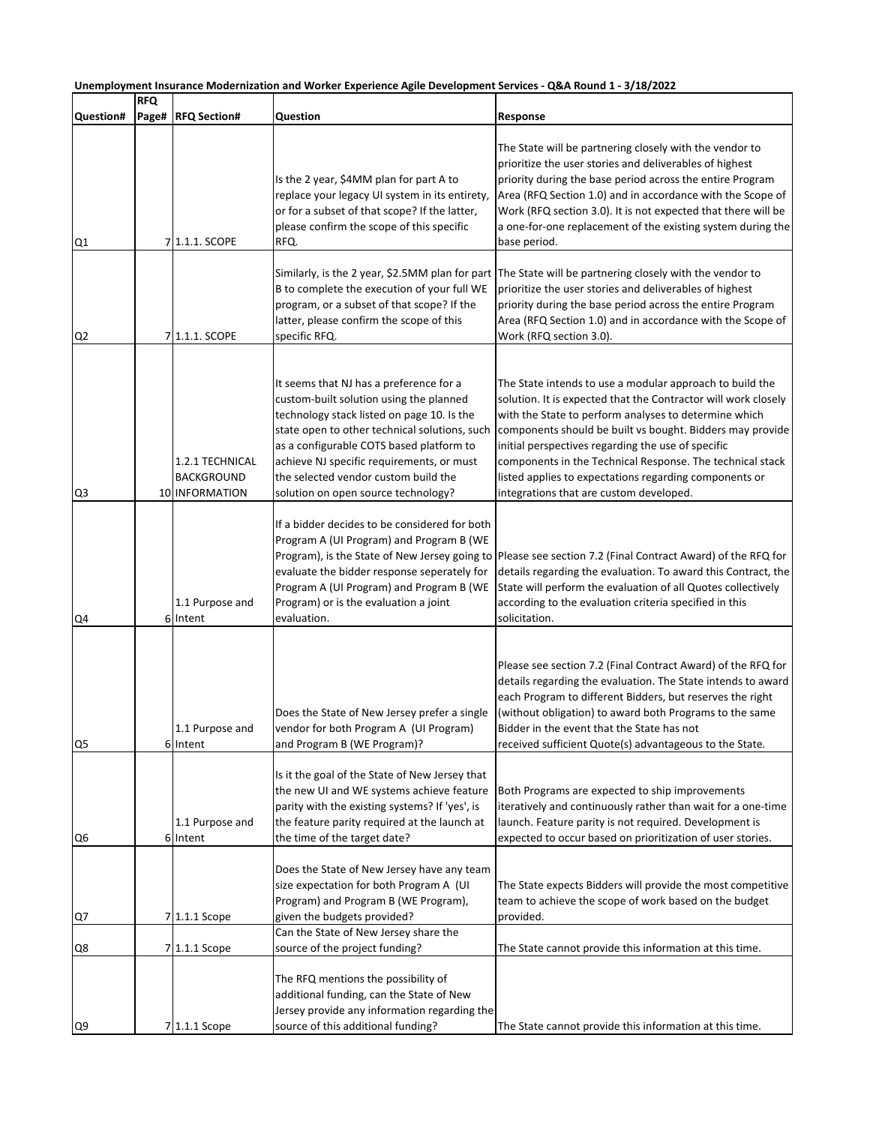|                |                     |                                                        | Unemployment Insurance Modernization and Worker Experience Agile Development Services - Q&A Round 1 - 3/18/2022                                                                                                                                                                                                                                           |                                                                                                                                                                                                                                                                                                                                                                                                                                                                          |
|----------------|---------------------|--------------------------------------------------------|-----------------------------------------------------------------------------------------------------------------------------------------------------------------------------------------------------------------------------------------------------------------------------------------------------------------------------------------------------------|--------------------------------------------------------------------------------------------------------------------------------------------------------------------------------------------------------------------------------------------------------------------------------------------------------------------------------------------------------------------------------------------------------------------------------------------------------------------------|
| Question#      | <b>RFQ</b><br>Page# | <b>RFQ Section#</b>                                    | Question                                                                                                                                                                                                                                                                                                                                                  | Response                                                                                                                                                                                                                                                                                                                                                                                                                                                                 |
| Q1             |                     | 7 1.1.1. SCOPE                                         | Is the 2 year, \$4MM plan for part A to<br>replace your legacy UI system in its entirety,<br>or for a subset of that scope? If the latter,<br>please confirm the scope of this specific<br>RFQ.                                                                                                                                                           | The State will be partnering closely with the vendor to<br>prioritize the user stories and deliverables of highest<br>priority during the base period across the entire Program<br>Area (RFQ Section 1.0) and in accordance with the Scope of<br>Work (RFQ section 3.0). It is not expected that there will be<br>a one-for-one replacement of the existing system during the<br>base period.                                                                            |
| Q <sub>2</sub> |                     | 7 1.1.1. SCOPE                                         | B to complete the execution of your full WE<br>program, or a subset of that scope? If the<br>latter, please confirm the scope of this<br>specific RFQ.                                                                                                                                                                                                    | Similarly, is the 2 year, \$2.5MM plan for part The State will be partnering closely with the vendor to<br>prioritize the user stories and deliverables of highest<br>priority during the base period across the entire Program<br>Area (RFQ Section 1.0) and in accordance with the Scope of<br>Work (RFQ section 3.0).                                                                                                                                                 |
| Q3             |                     | 1.2.1 TECHNICAL<br><b>BACKGROUND</b><br>10 INFORMATION | It seems that NJ has a preference for a<br>custom-built solution using the planned<br>technology stack listed on page 10. Is the<br>state open to other technical solutions, such<br>as a configurable COTS based platform to<br>achieve NJ specific requirements, or must<br>the selected vendor custom build the<br>solution on open source technology? | The State intends to use a modular approach to build the<br>solution. It is expected that the Contractor will work closely<br>with the State to perform analyses to determine which<br>components should be built vs bought. Bidders may provide<br>initial perspectives regarding the use of specific<br>components in the Technical Response. The technical stack<br>listed applies to expectations regarding components or<br>integrations that are custom developed. |
| Q4             |                     | 1.1 Purpose and<br>6 Intent                            | If a bidder decides to be considered for both<br>Program A (UI Program) and Program B (WE<br>Program), is the State of New Jersey going to<br>evaluate the bidder response seperately for<br>Program A (UI Program) and Program B (WE<br>Program) or is the evaluation a joint<br>evaluation.                                                             | Please see section 7.2 (Final Contract Award) of the RFQ for<br>details regarding the evaluation. To award this Contract, the<br>State will perform the evaluation of all Quotes collectively<br>according to the evaluation criteria specified in this<br>solicitation.                                                                                                                                                                                                 |
| Q <sub>5</sub> |                     | 1.1 Purpose and<br>6 Intent                            | Does the State of New Jersey prefer a single<br>vendor for both Program A (UI Program)<br>and Program B (WE Program)?                                                                                                                                                                                                                                     | Please see section 7.2 (Final Contract Award) of the RFQ for<br>details regarding the evaluation. The State intends to award<br>each Program to different Bidders, but reserves the right<br>(without obligation) to award both Programs to the same<br>Bidder in the event that the State has not<br>received sufficient Quote(s) advantageous to the State.                                                                                                            |
| Q6             |                     | 1.1 Purpose and<br>6 Intent                            | Is it the goal of the State of New Jersey that<br>the new UI and WE systems achieve feature<br>parity with the existing systems? If 'yes', is<br>the feature parity required at the launch at<br>the time of the target date?                                                                                                                             | Both Programs are expected to ship improvements<br>iteratively and continuously rather than wait for a one-time<br>launch. Feature parity is not required. Development is<br>expected to occur based on prioritization of user stories.                                                                                                                                                                                                                                  |
| Q7             |                     | 7 1.1.1 Scope                                          | Does the State of New Jersey have any team<br>size expectation for both Program A (UI<br>Program) and Program B (WE Program),<br>given the budgets provided?                                                                                                                                                                                              | The State expects Bidders will provide the most competitive<br>team to achieve the scope of work based on the budget<br>provided.                                                                                                                                                                                                                                                                                                                                        |
| Q8             |                     | 7 1.1.1 Scope                                          | Can the State of New Jersey share the<br>source of the project funding?                                                                                                                                                                                                                                                                                   | The State cannot provide this information at this time.                                                                                                                                                                                                                                                                                                                                                                                                                  |
| Q <sub>9</sub> |                     | 7 1.1.1 Scope                                          | The RFQ mentions the possibility of<br>additional funding, can the State of New<br>Jersey provide any information regarding the<br>source of this additional funding?                                                                                                                                                                                     | The State cannot provide this information at this time.                                                                                                                                                                                                                                                                                                                                                                                                                  |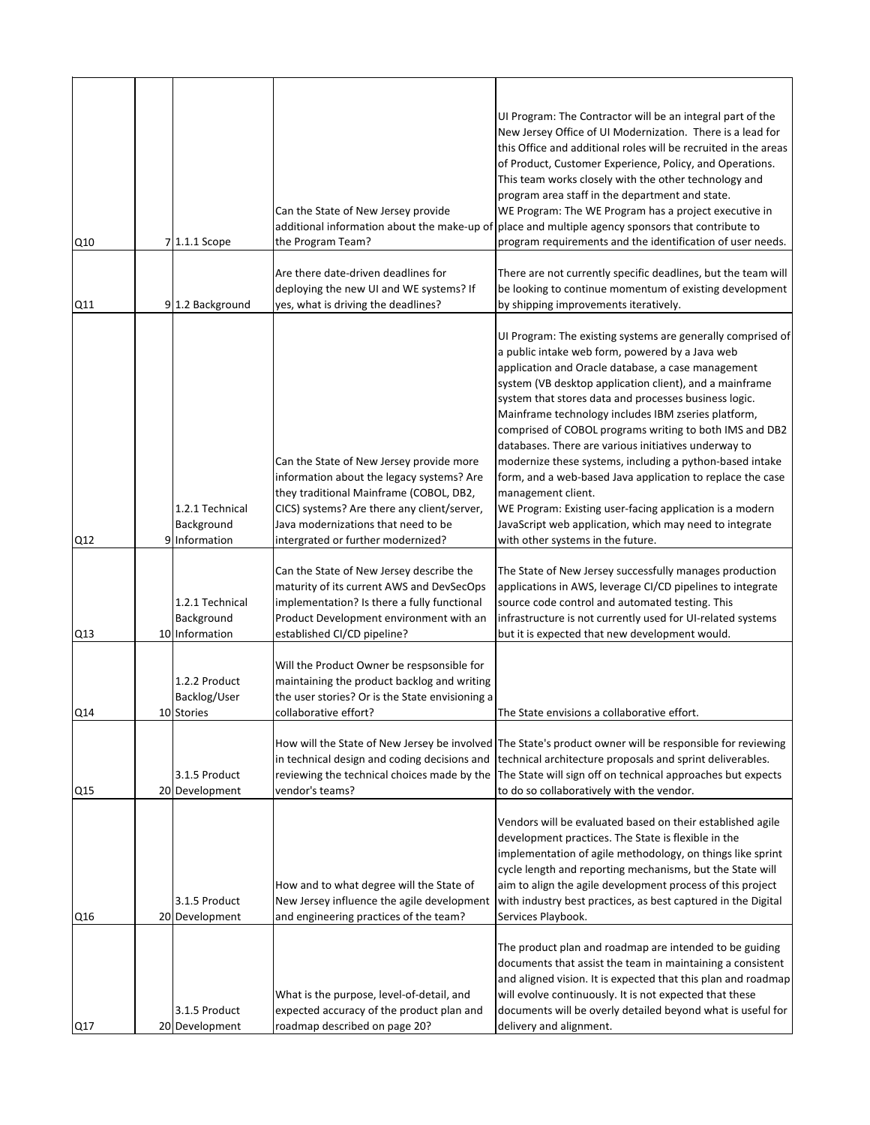| Q10 |   | 7 1.1.1 Scope                                   | Can the State of New Jersey provide<br>the Program Team?                                                                                                                                                                                                     | UI Program: The Contractor will be an integral part of the<br>New Jersey Office of UI Modernization. There is a lead for<br>this Office and additional roles will be recruited in the areas<br>of Product, Customer Experience, Policy, and Operations.<br>This team works closely with the other technology and<br>program area staff in the department and state.<br>WE Program: The WE Program has a project executive in<br>additional information about the make-up of place and multiple agency sponsors that contribute to<br>program requirements and the identification of user needs.                                                                                                                                                                                |
|-----|---|-------------------------------------------------|--------------------------------------------------------------------------------------------------------------------------------------------------------------------------------------------------------------------------------------------------------------|--------------------------------------------------------------------------------------------------------------------------------------------------------------------------------------------------------------------------------------------------------------------------------------------------------------------------------------------------------------------------------------------------------------------------------------------------------------------------------------------------------------------------------------------------------------------------------------------------------------------------------------------------------------------------------------------------------------------------------------------------------------------------------|
| Q11 |   | 9 1.2 Background                                | Are there date-driven deadlines for<br>deploying the new UI and WE systems? If<br>yes, what is driving the deadlines?                                                                                                                                        | There are not currently specific deadlines, but the team will<br>be looking to continue momentum of existing development<br>by shipping improvements iteratively.                                                                                                                                                                                                                                                                                                                                                                                                                                                                                                                                                                                                              |
| Q12 | 9 | 1.2.1 Technical<br>Background<br>Information    | Can the State of New Jersey provide more<br>information about the legacy systems? Are<br>they traditional Mainframe (COBOL, DB2,<br>CICS) systems? Are there any client/server,<br>Java modernizations that need to be<br>intergrated or further modernized? | UI Program: The existing systems are generally comprised of<br>a public intake web form, powered by a Java web<br>application and Oracle database, a case management<br>system (VB desktop application client), and a mainframe<br>system that stores data and processes business logic.<br>Mainframe technology includes IBM zseries platform,<br>comprised of COBOL programs writing to both IMS and DB2<br>databases. There are various initiatives underway to<br>modernize these systems, including a python-based intake<br>form, and a web-based Java application to replace the case<br>management client.<br>WE Program: Existing user-facing application is a modern<br>JavaScript web application, which may need to integrate<br>with other systems in the future. |
| Q13 |   | 1.2.1 Technical<br>Background<br>10 Information | Can the State of New Jersey describe the<br>maturity of its current AWS and DevSecOps<br>implementation? Is there a fully functional<br>Product Development environment with an<br>established CI/CD pipeline?                                               | The State of New Jersey successfully manages production<br>applications in AWS, leverage CI/CD pipelines to integrate<br>source code control and automated testing. This<br>infrastructure is not currently used for UI-related systems<br>but it is expected that new development would.                                                                                                                                                                                                                                                                                                                                                                                                                                                                                      |
| Q14 |   | 1.2.2 Product<br>Backlog/User<br>10 Stories     | Will the Product Owner be respsonsible for<br>maintaining the product backlog and writing<br>the user stories? Or is the State envisioning a<br>collaborative effort?<br>in technical design and coding decisions and                                        | The State envisions a collaborative effort.<br>How will the State of New Jersey be involved The State's product owner will be responsible for reviewing<br>technical architecture proposals and sprint deliverables.                                                                                                                                                                                                                                                                                                                                                                                                                                                                                                                                                           |
| Q15 |   | 3.1.5 Product<br>20 Development                 | vendor's teams?                                                                                                                                                                                                                                              | reviewing the technical choices made by the The State will sign off on technical approaches but expects<br>to do so collaboratively with the vendor.                                                                                                                                                                                                                                                                                                                                                                                                                                                                                                                                                                                                                           |
| Q16 |   | 3.1.5 Product<br>20 Development                 | How and to what degree will the State of<br>New Jersey influence the agile development<br>and engineering practices of the team?                                                                                                                             | Vendors will be evaluated based on their established agile<br>development practices. The State is flexible in the<br>implementation of agile methodology, on things like sprint<br>cycle length and reporting mechanisms, but the State will<br>aim to align the agile development process of this project<br>with industry best practices, as best captured in the Digital<br>Services Playbook.                                                                                                                                                                                                                                                                                                                                                                              |
| Q17 |   | 3.1.5 Product<br>20 Development                 | What is the purpose, level-of-detail, and<br>expected accuracy of the product plan and<br>roadmap described on page 20?                                                                                                                                      | The product plan and roadmap are intended to be guiding<br>documents that assist the team in maintaining a consistent<br>and aligned vision. It is expected that this plan and roadmap<br>will evolve continuously. It is not expected that these<br>documents will be overly detailed beyond what is useful for<br>delivery and alignment.                                                                                                                                                                                                                                                                                                                                                                                                                                    |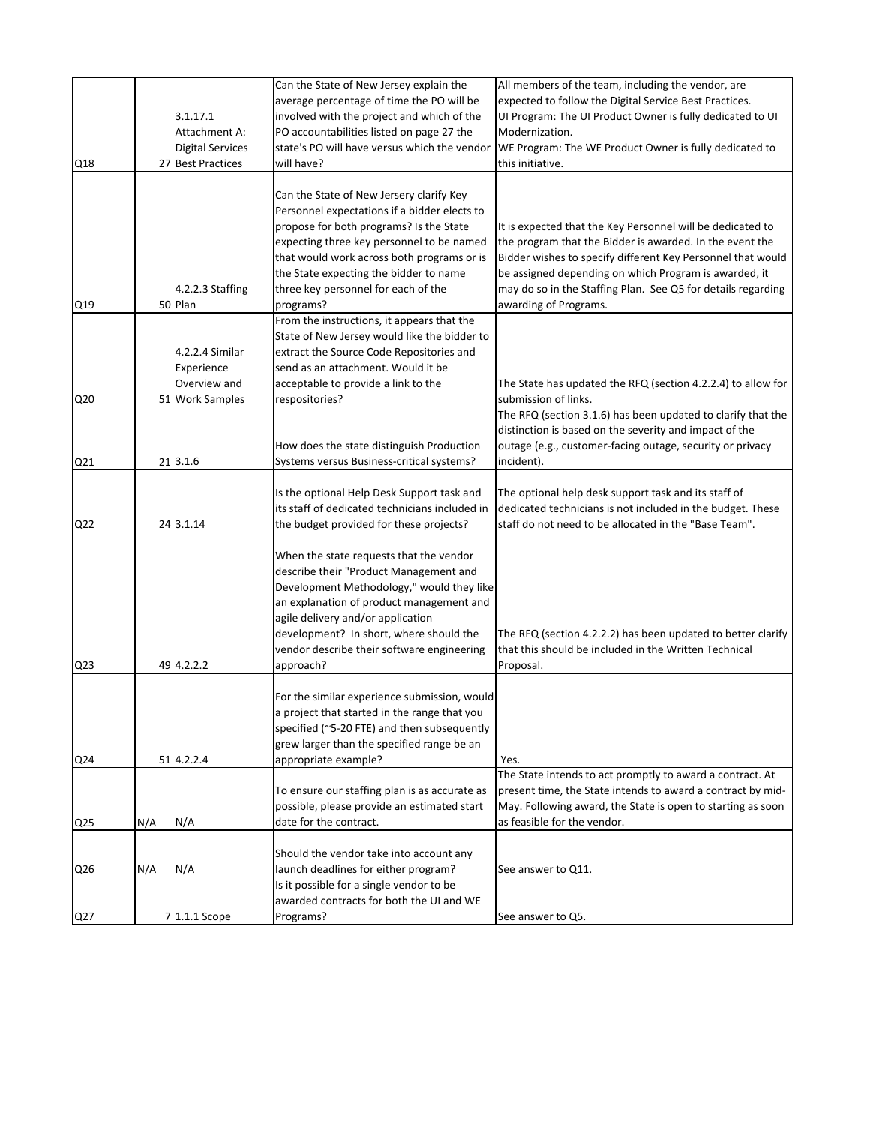|                 |     |                         | Can the State of New Jersey explain the        | All members of the team, including the vendor, are           |
|-----------------|-----|-------------------------|------------------------------------------------|--------------------------------------------------------------|
|                 |     |                         | average percentage of time the PO will be      | expected to follow the Digital Service Best Practices.       |
|                 |     | 3.1.17.1                | involved with the project and which of the     | UI Program: The UI Product Owner is fully dedicated to UI    |
|                 |     | Attachment A:           | PO accountabilities listed on page 27 the      | Modernization.                                               |
|                 |     | <b>Digital Services</b> | state's PO will have versus which the vendor   | WE Program: The WE Product Owner is fully dedicated to       |
| Q18             |     | 27 Best Practices       | will have?                                     | this initiative.                                             |
|                 |     |                         |                                                |                                                              |
|                 |     |                         | Can the State of New Jersery clarify Key       |                                                              |
|                 |     |                         | Personnel expectations if a bidder elects to   |                                                              |
|                 |     |                         | propose for both programs? Is the State        | It is expected that the Key Personnel will be dedicated to   |
|                 |     |                         | expecting three key personnel to be named      | the program that the Bidder is awarded. In the event the     |
|                 |     |                         | that would work across both programs or is     | Bidder wishes to specify different Key Personnel that would  |
|                 |     |                         | the State expecting the bidder to name         | be assigned depending on which Program is awarded, it        |
|                 |     | 4.2.2.3 Staffing        | three key personnel for each of the            | may do so in the Staffing Plan. See Q5 for details regarding |
| Q19             |     | 50 Plan                 | programs?                                      | awarding of Programs.                                        |
|                 |     |                         | From the instructions, it appears that the     |                                                              |
|                 |     |                         | State of New Jersey would like the bidder to   |                                                              |
|                 |     | 4.2.2.4 Similar         | extract the Source Code Repositories and       |                                                              |
|                 |     | Experience              | send as an attachment. Would it be             |                                                              |
|                 |     | Overview and            | acceptable to provide a link to the            | The State has updated the RFQ (section 4.2.2.4) to allow for |
| Q <sub>20</sub> |     | 51 Work Samples         | respositories?                                 | submission of links.                                         |
|                 |     |                         |                                                | The RFQ (section 3.1.6) has been updated to clarify that the |
|                 |     |                         |                                                | distinction is based on the severity and impact of the       |
|                 |     |                         | How does the state distinguish Production      | outage (e.g., customer-facing outage, security or privacy    |
| Q21             |     | 21 3.1.6                | Systems versus Business-critical systems?      | incident).                                                   |
|                 |     |                         |                                                |                                                              |
|                 |     |                         | Is the optional Help Desk Support task and     | The optional help desk support task and its staff of         |
|                 |     |                         | its staff of dedicated technicians included in | dedicated technicians is not included in the budget. These   |
| Q22             |     | 24 3.1.14               | the budget provided for these projects?        | staff do not need to be allocated in the "Base Team".        |
|                 |     |                         |                                                |                                                              |
|                 |     |                         | When the state requests that the vendor        |                                                              |
|                 |     |                         | describe their "Product Management and         |                                                              |
|                 |     |                         | Development Methodology," would they like      |                                                              |
|                 |     |                         | an explanation of product management and       |                                                              |
|                 |     |                         | agile delivery and/or application              |                                                              |
|                 |     |                         | development? In short, where should the        | The RFQ (section 4.2.2.2) has been updated to better clarify |
|                 |     |                         | vendor describe their software engineering     | that this should be included in the Written Technical        |
| Q <sub>23</sub> |     | 49 4.2.2.2              | approach?                                      | Proposal.                                                    |
|                 |     |                         |                                                |                                                              |
|                 |     |                         | For the similar experience submission, would   |                                                              |
|                 |     |                         | a project that started in the range that you   |                                                              |
|                 |     |                         | specified (~5-20 FTE) and then subsequently    |                                                              |
|                 |     |                         | grew larger than the specified range be an     |                                                              |
| Q <sub>24</sub> |     | 51 4.2.2.4              | appropriate example?                           | Yes.                                                         |
|                 |     |                         |                                                | The State intends to act promptly to award a contract. At    |
|                 |     |                         | To ensure our staffing plan is as accurate as  | present time, the State intends to award a contract by mid-  |
|                 |     |                         | possible, please provide an estimated start    | May. Following award, the State is open to starting as soon  |
| Q <sub>25</sub> | N/A | N/A                     | date for the contract.                         | as feasible for the vendor.                                  |
|                 |     |                         |                                                |                                                              |
|                 |     |                         | Should the vendor take into account any        |                                                              |
| Q26             | N/A | N/A                     | launch deadlines for either program?           | See answer to Q11.                                           |
|                 |     |                         | Is it possible for a single vendor to be       |                                                              |
|                 |     |                         | awarded contracts for both the UI and WE       |                                                              |
| Q27             |     | 7 1.1.1 Scope           | Programs?                                      | See answer to Q5.                                            |